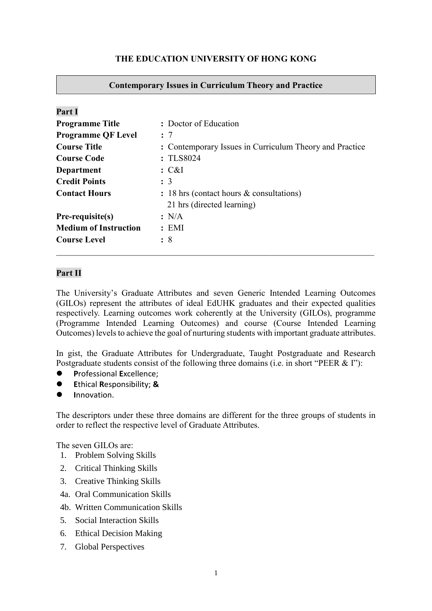# **THE EDUCATION UNIVERSITY OF HONG KONG**

# **Contemporary Issues in Curriculum Theory and Practice**

| <b>Part I</b>                |                                                         |
|------------------------------|---------------------------------------------------------|
| <b>Programme Title</b>       | : Doctor of Education                                   |
| <b>Programme QF Level</b>    | : 7                                                     |
| <b>Course Title</b>          | : Contemporary Issues in Curriculum Theory and Practice |
| <b>Course Code</b>           | : TLS8024                                               |
| Department                   | $\mathcal{C} \& \mathcal{I}$                            |
| <b>Credit Points</b>         | $\therefore$ 3                                          |
| <b>Contact Hours</b>         | : 18 hrs (contact hours & consultations)                |
|                              | 21 hrs (directed learning)                              |
| Pre-requisite(s)             | : N/A                                                   |
| <b>Medium of Instruction</b> | : EMI                                                   |
| <b>Course Level</b>          | $\colon 8$                                              |

# **Part II**

The University's Graduate Attributes and seven Generic Intended Learning Outcomes (GILOs) represent the attributes of ideal EdUHK graduates and their expected qualities respectively. Learning outcomes work coherently at the University (GILOs), programme (Programme Intended Learning Outcomes) and course (Course Intended Learning Outcomes) levels to achieve the goal of nurturing students with important graduate attributes.

\_\_\_\_\_\_\_\_\_\_\_\_\_\_\_\_\_\_\_\_\_\_\_\_\_\_\_\_\_\_\_\_\_\_\_\_\_\_\_\_\_\_\_\_\_\_\_\_\_\_\_\_\_\_\_\_\_\_\_\_\_\_\_\_\_\_\_\_\_\_\_\_\_

In gist, the Graduate Attributes for Undergraduate, Taught Postgraduate and Research Postgraduate students consist of the following three domains (i.e. in short "PEER & I"):

- **P**rofessional **E**xcellence;
- **E**thical **R**esponsibility; **&**
- **I**nnovation.

The descriptors under these three domains are different for the three groups of students in order to reflect the respective level of Graduate Attributes.

The seven GILOs are:

- 1. Problem Solving Skills
- 2. Critical Thinking Skills
- 3. Creative Thinking Skills
- 4a. Oral Communication Skills
- 4b. Written Communication Skills
- 5. Social Interaction Skills
- 6. Ethical Decision Making
- 7. Global Perspectives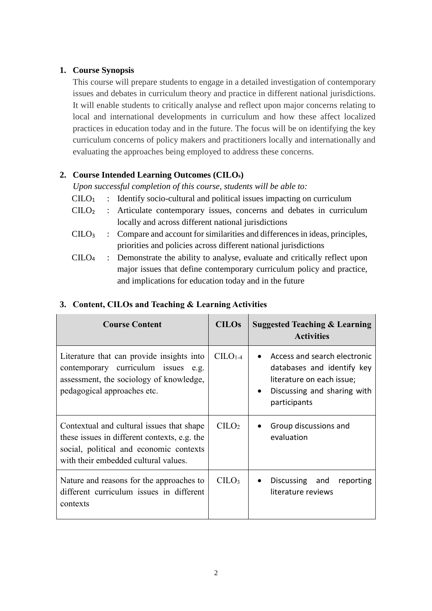# **1. Course Synopsis**

This course will prepare students to engage in a detailed investigation of contemporary issues and debates in curriculum theory and practice in different national jurisdictions. It will enable students to critically analyse and reflect upon major concerns relating to local and international developments in curriculum and how these affect localized practices in education today and in the future. The focus will be on identifying the key curriculum concerns of policy makers and practitioners locally and internationally and evaluating the approaches being employed to address these concerns.

# **2. Course Intended Learning Outcomes (CILOs)**

*Upon successful completion of this course, students will be able to:*

- $CLLO<sub>1</sub>$ : Identify socio-cultural and political issues impacting on curriculum
- $\text{CHO}_2$  : Articulate contemporary issues, concerns and debates in curriculum locally and across different national jurisdictions
- CILO<sup>3</sup> : Compare and account for similarities and differences in ideas, principles, priorities and policies across different national jurisdictions
- CILO<sup>4</sup> : Demonstrate the ability to analyse, evaluate and critically reflect upon major issues that define contemporary curriculum policy and practice, and implications for education today and in the future

# **3. Content, CILOs and Teaching & Learning Activities**

| <b>Course Content</b>                                                                                                                                                        | <b>CILOs</b>                   | <b>Suggested Teaching &amp; Learning</b><br><b>Activities</b>                                                                                       |  |
|------------------------------------------------------------------------------------------------------------------------------------------------------------------------------|--------------------------------|-----------------------------------------------------------------------------------------------------------------------------------------------------|--|
| Literature that can provide insights into<br>contemporary curriculum issues e.g.<br>assessment, the sociology of knowledge,<br>pedagogical approaches etc.                   | $CLLO1-4$                      | Access and search electronic<br>databases and identify key<br>literature on each issue;<br>Discussing and sharing with<br>$\bullet$<br>participants |  |
| Contextual and cultural issues that shape<br>these issues in different contexts, e.g. the<br>social, political and economic contexts<br>with their embedded cultural values. | $C LO2$                        | Group discussions and<br>evaluation                                                                                                                 |  |
| Nature and reasons for the approaches to<br>different curriculum issues in different<br>contexts                                                                             | C <sub>1</sub> LO <sub>3</sub> | Discussing and<br>reporting<br>literature reviews                                                                                                   |  |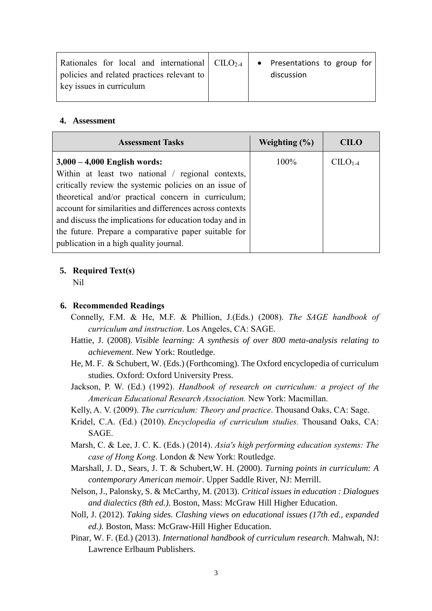| Rationales for local and international $\vert$ CILO <sub>2-4</sub> $\vert \bullet \right)$ Presentations to group for<br>policies and related practices relevant to | discussion |
|---------------------------------------------------------------------------------------------------------------------------------------------------------------------|------------|
| key issues in curriculum                                                                                                                                            |            |

#### **4. Assessment**

| <b>Assessment Tasks</b>                                  | Weighting $(\% )$ | CILO      |
|----------------------------------------------------------|-------------------|-----------|
| $3,000 - 4,000$ English words:                           | 100%              | $CILO1-4$ |
| Within at least two national / regional contexts,        |                   |           |
| critically review the systemic policies on an issue of   |                   |           |
| theoretical and/or practical concern in curriculum;      |                   |           |
| account for similarities and differences across contexts |                   |           |
| and discuss the implications for education today and in  |                   |           |
| the future. Prepare a comparative paper suitable for     |                   |           |
| publication in a high quality journal.                   |                   |           |

#### **5. Required Text(s)**

Nil

### **6. Recommended Readings**

- Connelly, F.M. & He, M.F. & Phillion, J.(Eds.) (2008). *The SAGE handbook of curriculum and instruction*. Los Angeles, CA: SAGE.
- Hattie, J. (2008). *Visible learning: A synthesis of over 800 meta-analysis relating to achievement*. New York: Routledge.
- He, M. F. & Schubert, W. (Eds.) (Forthcoming). The Oxford encyclopedia of curriculum studies*.* Oxford: Oxford University Press.
- Jackson, P. W. (Ed.) (1992). *Handbook of research on curriculum: a project of the American Educational Research Association.* New York: Macmillan.
- Kelly, A. V. (2009). *The curriculum: Theory and practice*. Thousand Oaks, CA: Sage.
- Kridel, C.A. (Ed.) (2010). *Encyclopedia of curriculum studies.* Thousand Oaks, CA: SAGE.
- Marsh, C. & Lee, J. C. K. (Eds.) (2014). *Asia's high performing education systems: The case of Hong Kong*. London & New York: Routledge.
- Marshall, J. D., Sears, J. T. & Schubert,W. H. (2000). *Turning points in curriculum: A contemporary American memoir*. Upper Saddle River, NJ: Merrill.
- Nelson, J., Palonsky, S. & McCarthy, M. (2013). *Critical issues in education : Dialogues and dialectics (8th ed.)*. Boston, Mass: McGraw Hill Higher Education.
- Noll, J. (2012). *Taking sides. Clashing views on educational issues (17th ed., expanded ed.).* Boston, Mass: McGraw-Hill Higher Education.
- Pinar, W. F. (Ed.) (2013). *International handbook of curriculum research.* Mahwah, NJ: Lawrence Erlbaum Publishers.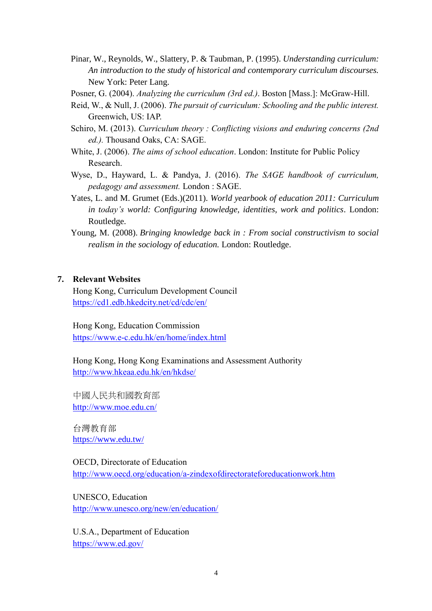- Pinar, W., Reynolds, W., Slattery, P. & Taubman, P. (1995). *Understanding curriculum: An introduction to the study of historical and contemporary curriculum discourses.* New York: Peter Lang.
- Posner, G. (2004). *Analyzing the curriculum (3rd ed.)*. Boston [Mass.]: McGraw-Hill.
- Reid, W., & Null, J. (2006). *The pursuit of curriculum: Schooling and the public interest.*  Greenwich, US: IAP.
- Schiro, M. (2013). *Curriculum theory : Conflicting visions and enduring concerns (2nd ed.).* Thousand Oaks, CA: SAGE.
- White, J. (2006). *The aims of school education*. London: Institute for Public Policy Research.
- Wyse, D., Hayward, L. & Pandya, J. (2016). *The SAGE handbook of curriculum, pedagogy and assessment.* London : SAGE.
- Yates, L. and M. Grumet (Eds.)(2011). *World yearbook of education 2011: Curriculum in today's world: Configuring knowledge, identities, work and politics*. London: Routledge.
- Young, M. (2008). *Bringing knowledge back in : From social constructivism to social realism in the sociology of education.* London: Routledge.

## **7. Relevant Websites**

Hong Kong, Curriculum Development Council <https://cd1.edb.hkedcity.net/cd/cdc/en/>

Hong Kong, Education Commission <https://www.e-c.edu.hk/en/home/index.html>

Hong Kong, Hong Kong Examinations and Assessment Authority <http://www.hkeaa.edu.hk/en/hkdse/>

中國人民共和國教育部 <http://www.moe.edu.cn/>

台灣教育部 <https://www.edu.tw/>

OECD, Directorate of Education <http://www.oecd.org/education/a-zindexofdirectorateforeducationwork.htm>

UNESCO, Education <http://www.unesco.org/new/en/education/>

U.S.A., Department of Education <https://www.ed.gov/>